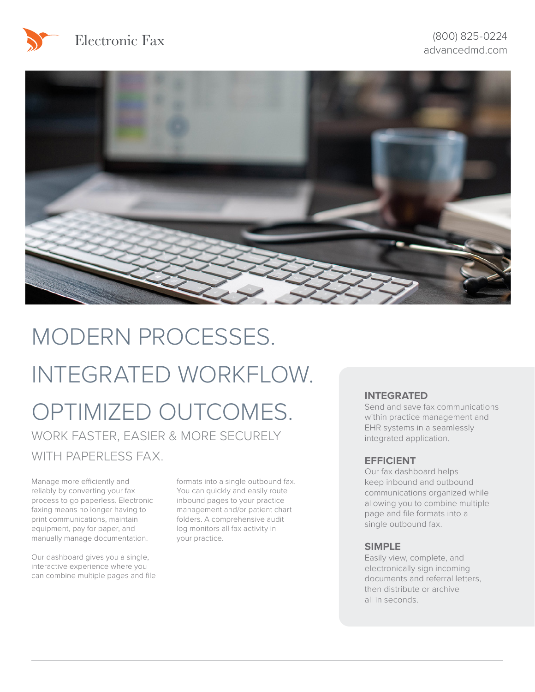



## MODERN PROCESSES. INTEGRATED WORKFLOW.

# OPTIMIZED OUTCOMES.

WORK FASTER, EASIER & MORE SECURELY WITH PAPERLESS FAX.

Manage more efficiently and reliably by converting your fax process to go paperless. Electronic faxing means no longer having to print communications, maintain equipment, pay for paper, and manually manage documentation.

Our dashboard gives you a single, interactive experience where you can combine multiple pages and file formats into a single outbound fax. You can quickly and easily route inbound pages to your practice management and/or patient chart folders. A comprehensive audit log monitors all fax activity in your practice.

#### **INTEGRATED**

Send and save fax communications within practice management and EHR systems in a seamlessly integrated application.

#### **EFFICIENT**

Our fax dashboard helps keep inbound and outbound communications organized while allowing you to combine multiple page and file formats into a single outbound fax.

#### **SIMPLE**

Easily view, complete, and electronically sign incoming documents and referral letters, then distribute or archive all in seconds.